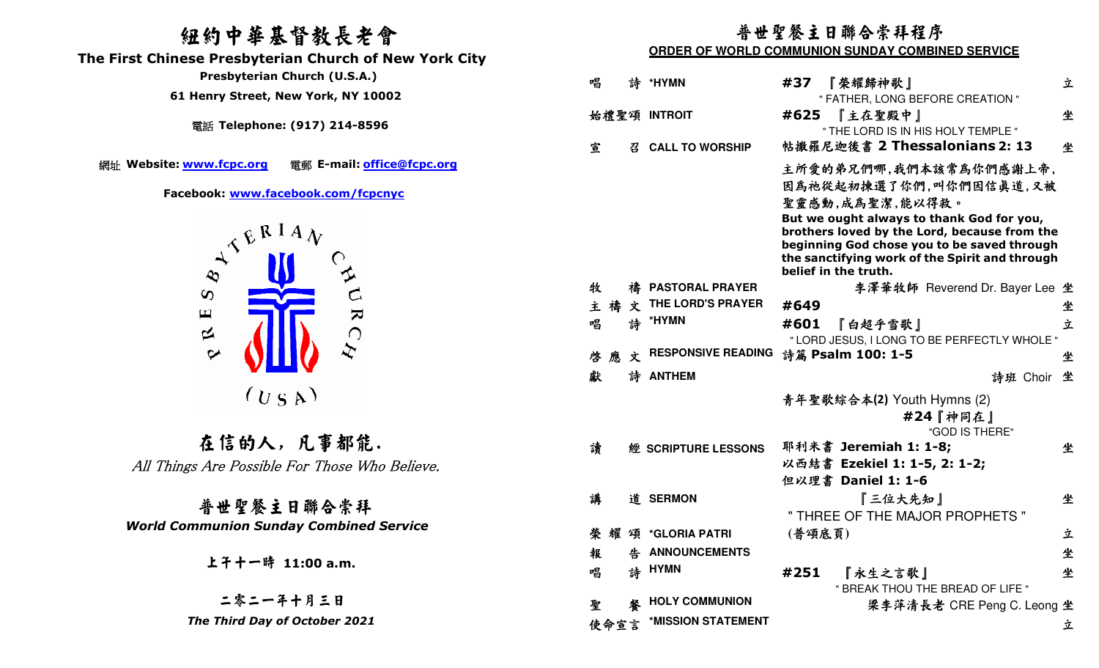## 紐約中華基督教長老會

 **The First Chinese Presbyterian Church of New York City** 

電話 **Telephone: (917) 214-8596** 

網址 Website: www.fcpc.org



在信的人, 凡事都能. All Things Are Possible For Those Who Believe.

普世聖餐主日聯合崇拜 *World Communion Sunday Combined Service* 

### 普世聖餐主日聯合崇拜程序

#### **ORDER OF WORLD COMMUNION SUNDAY COMBINED SERVICE**

| Presbyterian Church (U.S.A.)                          | 唱   |      |   | 詩 *HYMN                              | #37    | 『榮耀歸神歌』                                                                                                                                  | 立 |
|-------------------------------------------------------|-----|------|---|--------------------------------------|--------|------------------------------------------------------------------------------------------------------------------------------------------|---|
| 61 Henry Street, New York, NY 10002                   |     |      |   |                                      |        | " FATHER, LONG BEFORE CREATION "                                                                                                         |   |
| 電話 Telephone: (917) 214-8596                          |     |      |   | 始禮聖頌 INTROIT                         | #625   | 『主在聖殿中』                                                                                                                                  | 坐 |
|                                                       |     |      |   |                                      |        | " THE LORD IS IN HIS HOLY TEMPLE "                                                                                                       |   |
|                                                       | 宣   |      | 召 | <b>CALL TO WORSHIP</b>               |        | 帖撒羅尼迦後書 2 Thessalonians 2: 13                                                                                                            | 坐 |
| 電郵 E-mail: office@fcpc.org<br>te: <u>www.fcpc.org</u> |     |      |   |                                      |        | 主所愛的弟兄們哪,我們本該常為你們感謝上帝,                                                                                                                   |   |
| Facebook: www.facebook.com/fcpcnyc                    |     |      |   |                                      |        | 因為祂從起初揀選了你們,叫你們因信真道,又被<br>聖靈感動,成為聖潔,能以得救。                                                                                                |   |
| WYERIAN                                               |     |      |   |                                      |        | But we ought always to thank God for you,<br>brothers loved by the Lord, because from the<br>beginning God chose you to be saved through |   |
|                                                       |     |      |   |                                      |        | the sanctifying work of the Spirit and through<br>belief in the truth.                                                                   |   |
|                                                       | 牧   |      |   | 禱 PASTORAL PRAYER                    |        | 李澤華牧師 Reverend Dr. Bayer Lee 坐                                                                                                           |   |
| $\boldsymbol{\omega}$                                 | 主禧  |      |   | $\hat{\mathbf{x}}$ THE LORD'S PRAYER | #649   |                                                                                                                                          | 坐 |
| $\blacktriangleright$<br>$\mathbf \mu$                | 唱   |      |   | 詩 *HYMN                              | #601   | 『白超乎雪歌』                                                                                                                                  | 立 |
| $\approx$                                             |     |      |   |                                      |        | " LORD JESUS, I LONG TO BE PERFECTLY WHOLE "                                                                                             |   |
| $\boldsymbol{\varphi}$                                |     |      |   | 啓 應 文 RESPONSIVE READING             |        | 詩篇 Psalm 100: 1-5                                                                                                                        | 坐 |
|                                                       | 獻   |      |   | 詩 ANTHEM                             |        | 詩班 Choir 坐                                                                                                                               |   |
| (U S A)                                               |     |      |   |                                      |        | 青年聖歌綜合本(2) Youth Hymns (2)                                                                                                               |   |
|                                                       |     |      |   |                                      |        | #24『神同在』                                                                                                                                 |   |
|                                                       |     |      |   |                                      |        | "GOD IS THERE"                                                                                                                           |   |
| 在信的人,凡事都能.                                            | 讀   |      |   | 經 SCRIPTURE LESSONS                  |        | 耶利米書 Jeremiah 1: 1-8;                                                                                                                    | 坐 |
| hings Are Possible For Those Who Believe.             |     |      |   |                                      |        | 以西結書 Ezekiel 1: 1-5, 2: 1-2;                                                                                                             |   |
|                                                       |     |      |   |                                      |        | 但以理書 Daniel 1: 1-6                                                                                                                       |   |
| 普世聖餐主日聯合崇拜                                            | 講   |      |   | 道 SERMON                             |        | 『三位大先知』                                                                                                                                  | 坐 |
| <b>Communion Sunday Combined Service</b>              |     |      |   |                                      |        | " THREE OF THE MAJOR PROPHETS "                                                                                                          |   |
|                                                       | 榮 耀 |      | 頌 | <b>*GLORIA PATRI</b>                 | (普頌底頁) |                                                                                                                                          | 立 |
| 上午十一時 11:00 a.m.                                      | 報   |      |   | <b>ANNOUNCEMENTS</b>                 |        |                                                                                                                                          | 坐 |
|                                                       | 唱   |      |   | 詩 HYMN                               | #251   | 『永生之言歌』                                                                                                                                  | 坐 |
| 二零二一年十月三日                                             |     |      |   | <b>HOLY COMMUNION</b>                |        | " BREAK THOU THE BREAD OF LIFE "                                                                                                         |   |
| The Third Day of October 2021                         | 聖   |      |   | *MISSION STATEMENT                   |        | 梁李萍清長老 CRE Peng C. Leong 坐                                                                                                               |   |
|                                                       |     | 使命宣言 |   |                                      |        |                                                                                                                                          | 立 |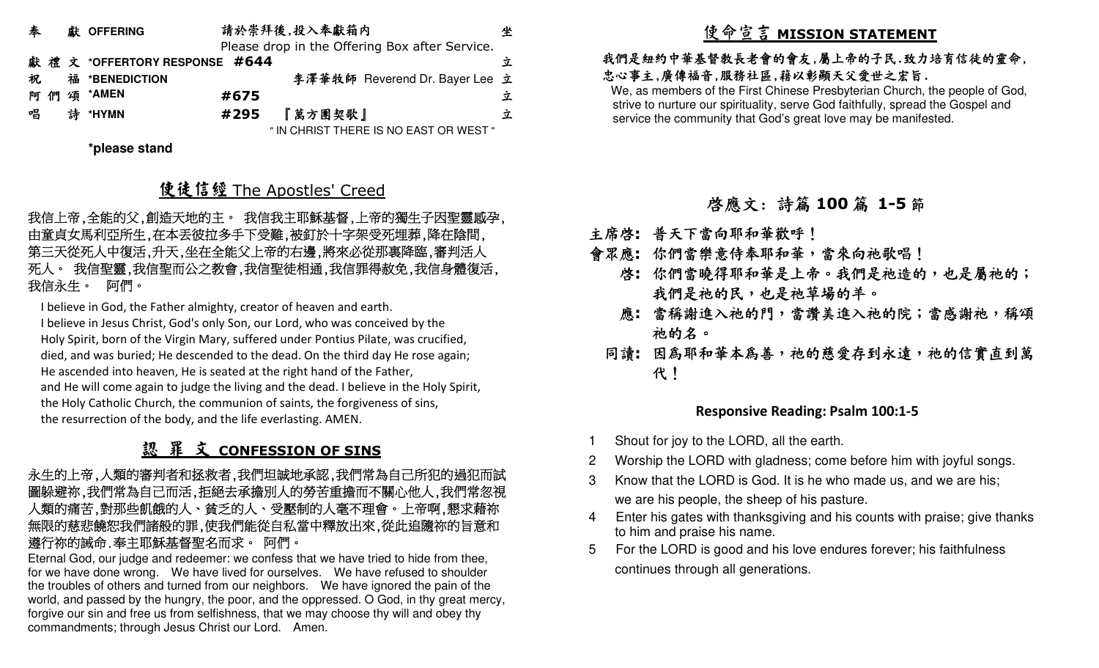| 泰  |   | 獻 OFFERING                   |      | 請於崇拜後,投入奉獻箱内 |                                                | 坐 |
|----|---|------------------------------|------|--------------|------------------------------------------------|---|
|    |   |                              |      |              | Please drop in the Offering Box after Service. |   |
|    |   | 獻禮文 *OFFERTORY RESPONSE #644 |      |              |                                                | 立 |
| 祝  |   | 福 *BENEDICTION               |      |              | 李澤華牧師 Reverend Dr. Bayer Lee 立                 |   |
| াল |   | 頌 *AMEN                      | #675 |              |                                                | Ÿ |
| 唱  | 誅 | *HYMN                        | #295 | 『萬方團契歌』      |                                                | 立 |
|    |   |                              |      |              | " IN CHRIST THERE IS NO EAST OR WEST "         |   |

**\*please stand** 

# 使徒信經 The Apostles' Creed<br>\*\*\*\*\*\*\*\*\*\*\*\*\*\*\*\*\*\*\*\*\*\*\*\*\*\*

我信上帝,全能的父,創造天地的主。 我信我主耶穌基督,上帝的獨生子因聖靈感孕, 由童貞女馬利亞所生,在本丟彼拉多手下受難,被釘於十字架受死埋葬,降在陰間, 第三天從死人中復活,升天,坐在全能父上帝的右邊,將來必從那裏降臨,審判活人 死人。 我信聖靈,我信聖而公之教會,我信聖徒相通,我信罪得赦免,我信身體復活, 我信永生。 阿們。

I believe in God, the Father almighty, creator of heaven and earth.

I believe in Jesus Christ, God's only Son, our Lord, who was conceived by the Holy Spirit, born of the Virgin Mary, suffered under Pontius Pilate, was crucified, died, and was buried; He descended to the dead. On the third day He rose again; He ascended into heaven, He is seated at the right hand of the Father, and He will come again to judge the living and the dead. I believe in the Holy Spirit, the Holy Catholic Church, the communion of saints, the forgiveness of sins, the resurrection of the body, and the life everlasting. AMEN.

# <u>認 罪 文 CONFESSION OF SINS</u>

#### 永生的上帝,人類的審判者和拯救者,我們坦誠地承認,我們常為自己所犯的過犯而試圖躲避祢,我們常為自己而活,拒絕去承擔別人的勞苦重擔而不關心他人,我們常忽視 人類的痛苦,對那些飢餓的人、貧乏的人、受壓制的人毫不理會。上帝啊,懇求藉祢 無限的慈悲饒恕我們諸般的罪,使我們能從自私當中釋放出來,從此追隨祢的旨意和 遵行祢的誡命.奉主耶穌基督聖名而求。 阿們。

 Eternal God, our judge and redeemer: we confess that we have tried to hide from thee, for we have done wrong. We have lived for ourselves. We have refused to shoulder the troubles of others and turned from our neighbors. We have ignored the pain of the world, and passed by the hungry, the poor, and the oppressed. O God, in thy great mercy, forgive our sin and free us from selfishness, that we may choose thy will and obey thy commandments; through Jesus Christ our Lord. Amen.

# 使命宣言 **MISSION STATEMENT**

#### 我們是紐約中華基督教長老會的會友,屬上帝的子民.致力培育信徒的靈命, 忠心事主,廣傳福音,服務社區,藉以彰顯天父愛世之宏旨.

 We, as members of the First Chinese Presbyterian Church, the people of God, strive to nurture our spirituality, serve God faithfully, spread the Gospel and service the community that God's great love may be manifested.

# 啟應文: 詩篇 **<sup>100</sup>** 篇 **1-5**節

主席啟**:** 普天下當向耶和華歡呼!

- 會眾應**:** 你們當樂意侍奉耶和華,當來向祂歌唱!
	- 啓**:** 你們當曉得耶和華是上帝。我們是祂造的,也是屬祂的; 我們是祂的民,也是祂草場的羊。
	- 應**:** 當稱謝進入祂的門,當讚美進入祂的院;當感謝祂,稱頌 祂的名。
	- 同讀:因為耶和華本為善,祂的慈愛存到永遠,祂的信實直到萬 代!

#### **Responsive Reading: Psalm 100:1-5**

- Shout for joy to the LORD, all the earth.
- 2 Worship the LORD with gladness; come before him with joyful songs.
- 3 Know that the LORD is God. It is he who made us, and we are his; we are his people, the sheep of his pasture.
- 4 Enter his gates with thanksgiving and his counts with praise; give thanks to him and praise his name.
- 5 For the LORD is good and his love endures forever; his faithfulness continues through all generations.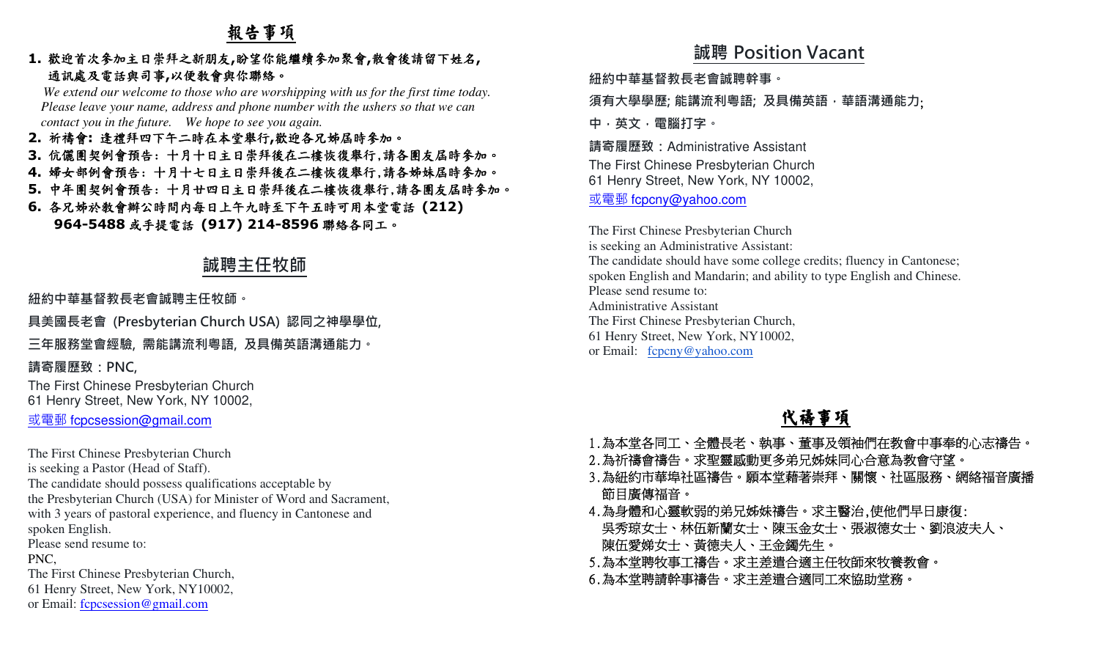## 報告事項

#### **1.**歡迎首次參加主日崇拜之新朋友**,**盼望你能繼續參加聚會**,**散會後請留下姓名**,** 通訊處及電話與司事**,**<sup>以</sup>便教會與你聯絡。

 *We extend our welcome to those who are worshipping with us for the first time today. Please leave your name, address and phone number with the ushers so that we can contact you in the future. We hope to see you again.*

- **2.** 祈禱會**:** 逢禮拜四下午二時在本堂舉行**,**歡迎各兄姊屆時參加。
- **3.** 伉儷團契例會預告: 十月十日主日崇拜後在二樓恢復舉行,請各團友屆時參加。
- **4.** 婦女部例會預告: 十月十七日主日崇拜後在二樓恢復舉行,請各姊妹屆時參加。
- **5.** 中年團契例會預告: 十月廿四日主日崇拜後在二樓恢復舉行,請各團友屆時參加。
- **6.** 各兄姊於教會辦公時間內每日上午九時至下午五時可用本堂電話 **(212) 964-5488**或手提電話 **(917) 214-8596**聯絡各同工。

## **誠聘主任牧師**

**紐約中華基督教⻑老會誠聘主任牧師。** 

**具美國⻑老會 (Presbyterian Church USA) 認同之神學學位,** 

**三年服務堂會經驗, 需能講流利粵語, 及具備英語溝通能力。** 

**請寄履歷致:PNC,**

The First Chinese Presbyterian Church61 Henry Street, New York, NY 10002,

或電郵 fcpcsession@gmail.com

The First Chinese Presbyterian Churchis seeking a Pastor (Head of Staff). The candidate should possess qualifications acceptable by the Presbyterian Church (USA) for Minister of Word and Sacrament, with 3 years of pastoral experience, and fluency in Cantonese and spoken English. Please send resume to: PNC, The First Chinese Presbyterian Church, 61 Henry Street, New York, NY10002,or Email: fcpcsession@gmail.com

## **誠聘 Position Vacant**

**紐約中華基督教⻑老會誠聘幹事。** 

**須有大學學歷; 能講流利粵語; 及具備英語,華語溝通能力**;

**中,英文,電腦打字。**

**請寄履歷致:**Administrative Assistant

The First Chinese Presbyterian Church61 Henry Street, New York, NY 10002,

## <u>或電郵 f<mark>cpcny@yahoo.co</mark>m</u>

The First Chinese Presbyterian Church is seeking an Administrative Assistant: The candidate should have some college credits; fluency in Cantonese; spoken English and Mandarin; and ability to type English and Chinese.Please send resume to: Administrative Assistant The First Chinese Presbyterian Church, 61 Henry Street, New York, NY10002,or Email: fcpcny@yahoo.com

## 代禱事項

- 1.為本堂各同工、全體長老、執事、董事及領袖們在教會中事奉的心志禱告。
- 2.為祈禱會禱告。求聖靈感動更多弟兄姊妹同心合意為教會守望。
- 3.為紐約市華埠社區禱告。願本堂藉著崇拜、關懷、社區服務、網絡福音廣播 節目廣傳福音。
- 4.為身體和心靈軟弱的弟兄姊妹禱告。求主醫治,使他們早日康復: 吳秀琼女士、林伍新蘭女士、陳玉金女士、張淑德女士、劉浪波夫人、 陳伍愛娣女士、黃德夫人、王金鐲先生。
- 5.為本堂聘牧事工禱告。求主差遣合適主任牧師來牧養教會。
- 6.為本堂聘請幹事禱告。求主差遣合適同工來協助堂務。